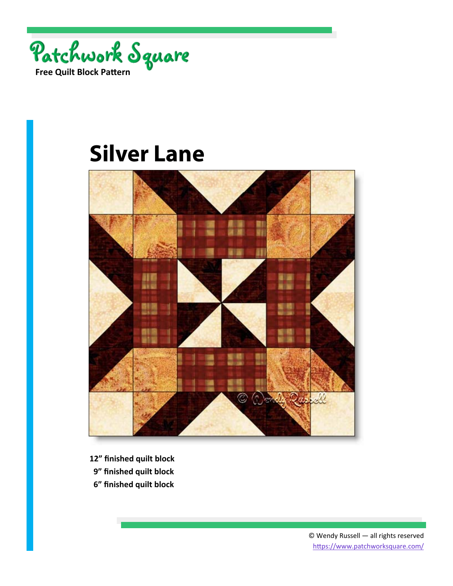



- **12" finished quilt block**
- **9" finished quilt block**
- **6" finished quilt block**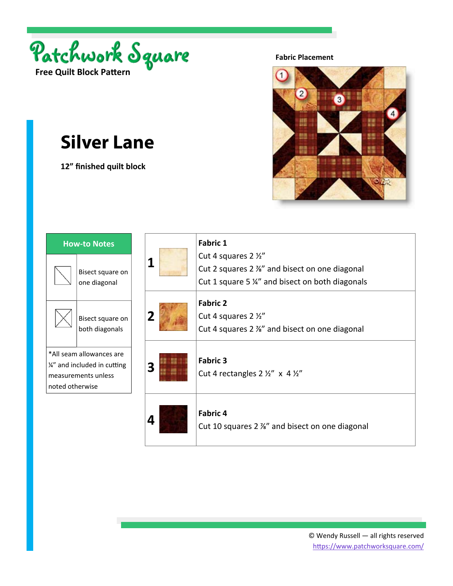

**12" finished quilt block** 

**Fabric Placement** 



| <b>How-to Notes</b>                                                                                |                                    |  |
|----------------------------------------------------------------------------------------------------|------------------------------------|--|
|                                                                                                    | Bisect square on<br>one diagonal   |  |
|                                                                                                    | Bisect square on<br>both diagonals |  |
| *All seam allowances are<br>1/4" and included in cutting<br>measurements unless<br>noted otherwise |                                    |  |
|                                                                                                    |                                    |  |

| 1 | <b>Fabric 1</b><br>Cut 4 squares 2 1/2"<br>Cut 2 squares 2 %" and bisect on one diagonal<br>Cut 1 square 5 %" and bisect on both diagonals |
|---|--------------------------------------------------------------------------------------------------------------------------------------------|
| 2 | <b>Fabric 2</b><br>Cut 4 squares 2 1/2"<br>Cut 4 squares 2 %" and bisect on one diagonal                                                   |
| 3 | <b>Fabric 3</b><br>Cut 4 rectangles $2 \frac{1}{2}$ " x 4 $\frac{1}{2}$ "                                                                  |
| 4 | <b>Fabric 4</b><br>Cut 10 squares 2 %" and bisect on one diagonal                                                                          |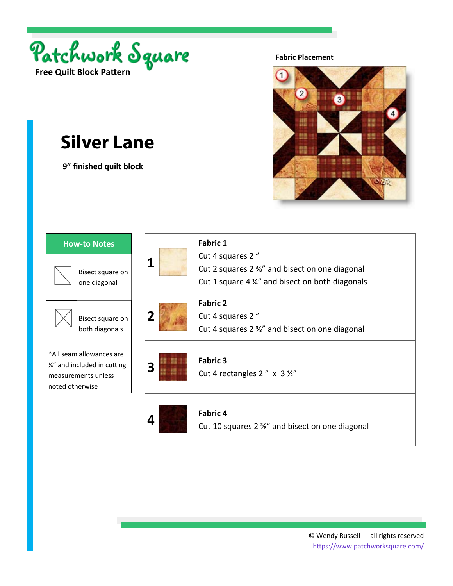

 **9" finished quilt block** 

**Fabric Placement** 



| <b>How-to Notes</b>                                                                                |                                    |  |
|----------------------------------------------------------------------------------------------------|------------------------------------|--|
|                                                                                                    | Bisect square on<br>one diagonal   |  |
|                                                                                                    | Bisect square on<br>both diagonals |  |
| *All seam allowances are<br>1/4" and included in cutting<br>measurements unless<br>noted otherwise |                                    |  |
|                                                                                                    |                                    |  |

| 1 | <b>Fabric 1</b><br>Cut 4 squares 2"<br>Cut 2 squares $2\frac{3}{8}$ and bisect on one diagonal<br>Cut 1 square 4 1/4" and bisect on both diagonals |
|---|----------------------------------------------------------------------------------------------------------------------------------------------------|
| 2 | <b>Fabric 2</b><br>Cut 4 squares 2"<br>Cut 4 squares 2 $\frac{3}{8}$ " and bisect on one diagonal                                                  |
| 3 | <b>Fabric 3</b><br>Cut 4 rectangles 2" $\times$ 3 $\frac{1}{2}$ "                                                                                  |
| 4 | Fabric 4<br>Cut 10 squares 2 %" and bisect on one diagonal                                                                                         |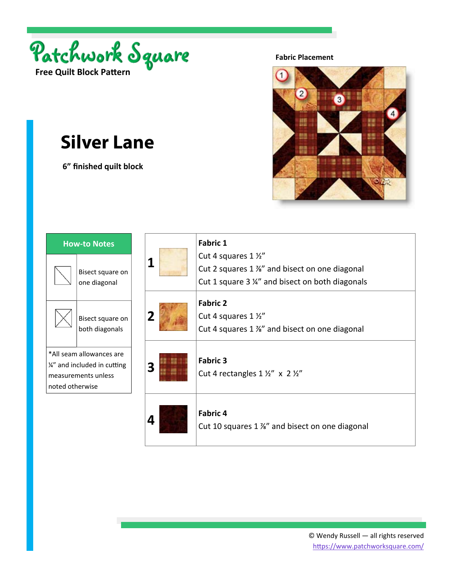

 **6" finished quilt block** 

**Fabric Placement** 



| 1 | <b>Fabric 1</b><br>Cut 4 squares 1 1/2"<br>Cut 2 squares 1 %" and bisect on one diagonal<br>Cut 1 square 3 ¼" and bisect on both diagonals |
|---|--------------------------------------------------------------------------------------------------------------------------------------------|
| 2 | <b>Fabric 2</b><br>Cut 4 squares 1 1/2"<br>Cut 4 squares 1 %" and bisect on one diagonal                                                   |
| 3 | <b>Fabric 3</b><br>Cut 4 rectangles $1 \frac{1}{2}$ " x $2 \frac{1}{2}$ "                                                                  |
| 4 | <b>Fabric 4</b><br>Cut 10 squares 1 %" and bisect on one diagonal                                                                          |